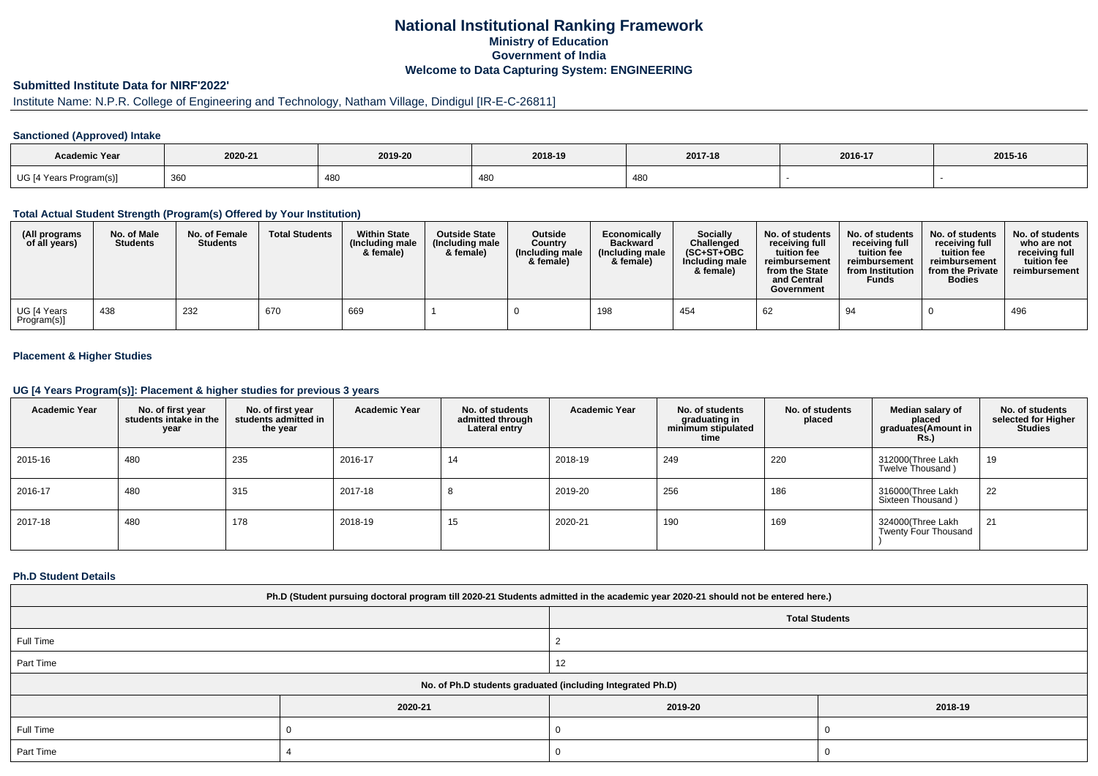## **National Institutional Ranking FrameworkMinistry of Education Government of IndiaWelcome to Data Capturing System: ENGINEERING**

# **Submitted Institute Data for NIRF'2022'**

# Institute Name: N.P.R. College of Engineering and Technology, Natham Village, Dindigul [IR-E-C-26811]

### **Sanctioned (Approved) Intake**

| <b>Academic Year</b>    | 2020-21 | 2019-20    | 2018-19    | 2017-18 | 2016-17 | 2015-16 |
|-------------------------|---------|------------|------------|---------|---------|---------|
| UG [4 Years Program(s)] | 360     | 180<br>⊤∪১ | 180<br>rou | 480     |         |         |

#### **Total Actual Student Strength (Program(s) Offered by Your Institution)**

| (All programs<br>of all years) | No. of Male<br><b>Students</b> | No. of Female<br><b>Students</b> | <b>Total Students</b> | <b>Within State</b><br>(Including male<br>& female) | <b>Outside State</b><br>(Including male<br>& female) | <b>Outside</b><br>Country<br>(Including male<br>& female) | Economically<br><b>Backward</b><br>(Including male)<br>& female) | <b>Socially</b><br>Challenged<br>$(SC+ST+OBC)$<br>Including male<br>& female) | No. of students<br>receivina full<br>tuition fee<br>reimbursement<br>from the State<br>and Central<br>Government | No. of students<br>receiving full<br>tuition fee<br>reimbursement<br>from Institution<br><b>Funds</b> | No. of students<br>receiving full<br>tuition fee<br>reimbursement<br>from the Private<br><b>Bodies</b> | No. of students<br>who are not<br>receiving full<br>tuition fee<br>reimbursement |
|--------------------------------|--------------------------------|----------------------------------|-----------------------|-----------------------------------------------------|------------------------------------------------------|-----------------------------------------------------------|------------------------------------------------------------------|-------------------------------------------------------------------------------|------------------------------------------------------------------------------------------------------------------|-------------------------------------------------------------------------------------------------------|--------------------------------------------------------------------------------------------------------|----------------------------------------------------------------------------------|
| UG [4 Years<br>Program(s)]     | 438                            | 232                              | 670                   | 669                                                 |                                                      |                                                           | 198                                                              | 454                                                                           | 62                                                                                                               | 94                                                                                                    |                                                                                                        | 496                                                                              |

## **Placement & Higher Studies**

#### **UG [4 Years Program(s)]: Placement & higher studies for previous 3 years**

| <b>Academic Year</b> | No. of first year<br>students intake in the<br>year | No. of first vear<br>students admitted in<br>the year | <b>Academic Year</b> | No. of students<br>admitted through<br>Lateral entry | <b>Academic Year</b> | No. of students<br>graduating in<br>minimum stipulated<br>time | No. of students<br>placed | Median salary of<br>placed<br>graduates(Amount in<br>Rs. | No. of students<br>selected for Higher<br><b>Studies</b> |
|----------------------|-----------------------------------------------------|-------------------------------------------------------|----------------------|------------------------------------------------------|----------------------|----------------------------------------------------------------|---------------------------|----------------------------------------------------------|----------------------------------------------------------|
| 2015-16              | 480                                                 | 235                                                   | 2016-17              | 14                                                   | 2018-19              | 249                                                            | 220                       | 312000 (Three Lakh<br>Twelve Thousand)                   | 19                                                       |
| 2016-17              | 480                                                 | 315                                                   | 2017-18              | $\circ$                                              | 2019-20              | 256                                                            | 186                       | 316000(Three Lakh<br>Sixteen Thousand)                   | 22                                                       |
| 2017-18              | 480                                                 | 178                                                   | 2018-19              | 15                                                   | 2020-21              | 190                                                            | 169                       | 324000(Three Lakh<br><b>Twenty Four Thousand</b>         | 21                                                       |

#### **Ph.D Student Details**

| Ph.D (Student pursuing doctoral program till 2020-21 Students admitted in the academic year 2020-21 should not be entered here.) |                                                            |                       |         |  |  |  |  |
|----------------------------------------------------------------------------------------------------------------------------------|------------------------------------------------------------|-----------------------|---------|--|--|--|--|
|                                                                                                                                  |                                                            | <b>Total Students</b> |         |  |  |  |  |
| Full Time                                                                                                                        |                                                            |                       |         |  |  |  |  |
| Part Time                                                                                                                        |                                                            | 12                    |         |  |  |  |  |
|                                                                                                                                  | No. of Ph.D students graduated (including Integrated Ph.D) |                       |         |  |  |  |  |
|                                                                                                                                  | 2020-21                                                    | 2019-20               | 2018-19 |  |  |  |  |
| Full Time                                                                                                                        |                                                            |                       |         |  |  |  |  |
| Part Time                                                                                                                        |                                                            |                       |         |  |  |  |  |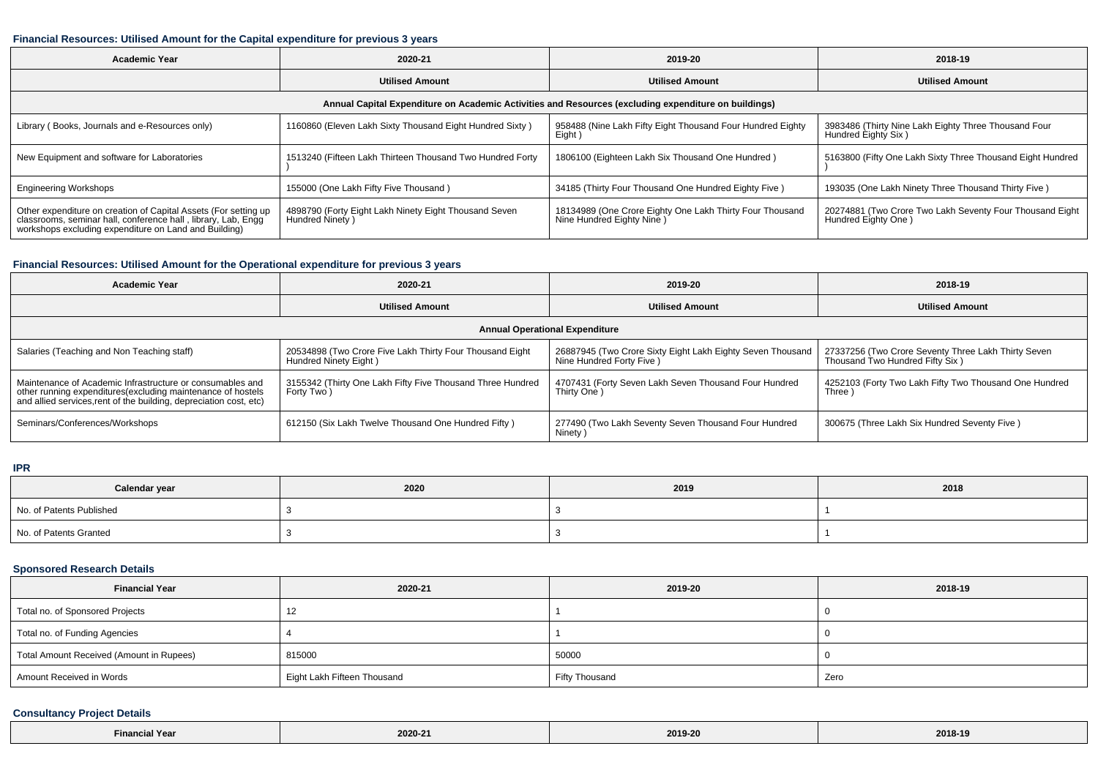### **Financial Resources: Utilised Amount for the Capital expenditure for previous 3 years**

| <b>Academic Year</b>                                                                                                                                                                      | 2020-21                                                                  | 2019-20                                                                               | 2018-19                                                                         |  |  |  |  |  |  |
|-------------------------------------------------------------------------------------------------------------------------------------------------------------------------------------------|--------------------------------------------------------------------------|---------------------------------------------------------------------------------------|---------------------------------------------------------------------------------|--|--|--|--|--|--|
|                                                                                                                                                                                           | <b>Utilised Amount</b>                                                   | <b>Utilised Amount</b>                                                                | <b>Utilised Amount</b>                                                          |  |  |  |  |  |  |
| Annual Capital Expenditure on Academic Activities and Resources (excluding expenditure on buildings)                                                                                      |                                                                          |                                                                                       |                                                                                 |  |  |  |  |  |  |
| Library (Books, Journals and e-Resources only)                                                                                                                                            | 1160860 (Eleven Lakh Sixty Thousand Eight Hundred Sixty)                 | 958488 (Nine Lakh Fifty Eight Thousand Four Hundred Eighty<br>Eight)                  | 3983486 (Thirty Nine Lakh Eighty Three Thousand Four<br>Hundred Eighty Six)     |  |  |  |  |  |  |
| New Equipment and software for Laboratories                                                                                                                                               | 1513240 (Fifteen Lakh Thirteen Thousand Two Hundred Forty                | 1806100 (Eighteen Lakh Six Thousand One Hundred)                                      | 5163800 (Fifty One Lakh Sixty Three Thousand Eight Hundred                      |  |  |  |  |  |  |
| <b>Engineering Workshops</b>                                                                                                                                                              | 155000 (One Lakh Fifty Five Thousand)                                    | 34185 (Thirty Four Thousand One Hundred Eighty Five)                                  | 193035 (One Lakh Ninety Three Thousand Thirty Five)                             |  |  |  |  |  |  |
| Other expenditure on creation of Capital Assets (For setting up<br>classrooms, seminar hall, conference hall, library, Lab, Engq<br>workshops excluding expenditure on Land and Building) | 4898790 (Forty Eight Lakh Ninety Eight Thousand Seven<br>Hundred Ninety) | 18134989 (One Crore Eighty One Lakh Thirty Four Thousand<br>Nine Hundred Eighty Nine) | 20274881 (Two Crore Two Lakh Seventy Four Thousand Eight<br>Hundred Eighty One) |  |  |  |  |  |  |

### **Financial Resources: Utilised Amount for the Operational expenditure for previous 3 years**

| Academic Year                                                                                                                                                                                   | 2020-21                                                                           | 2019-20                                                                                 | 2018-19                                                                                |  |  |  |  |  |
|-------------------------------------------------------------------------------------------------------------------------------------------------------------------------------------------------|-----------------------------------------------------------------------------------|-----------------------------------------------------------------------------------------|----------------------------------------------------------------------------------------|--|--|--|--|--|
|                                                                                                                                                                                                 | <b>Utilised Amount</b>                                                            | <b>Utilised Amount</b>                                                                  | <b>Utilised Amount</b>                                                                 |  |  |  |  |  |
| <b>Annual Operational Expenditure</b>                                                                                                                                                           |                                                                                   |                                                                                         |                                                                                        |  |  |  |  |  |
| Salaries (Teaching and Non Teaching staff)                                                                                                                                                      | 20534898 (Two Crore Five Lakh Thirty Four Thousand Eight<br>Hundred Ninety Eight) | 26887945 (Two Crore Sixty Eight Lakh Eighty Seven Thousand<br>Nine Hundred Forty Five ) | 27337256 (Two Crore Seventy Three Lakh Thirty Seven<br>Thousand Two Hundred Fifty Six) |  |  |  |  |  |
| Maintenance of Academic Infrastructure or consumables and<br>other running expenditures (excluding maintenance of hostels<br>and allied services, rent of the building, depreciation cost, etc) | 3155342 (Thirty One Lakh Fifty Five Thousand Three Hundred<br>Forty Two)          | 4707431 (Forty Seven Lakh Seven Thousand Four Hundred<br>Thirty One)                    | 4252103 (Forty Two Lakh Fifty Two Thousand One Hundred<br>Three)                       |  |  |  |  |  |
| Seminars/Conferences/Workshops                                                                                                                                                                  | 612150 (Six Lakh Twelve Thousand One Hundred Fifty)                               | 277490 (Two Lakh Seventy Seven Thousand Four Hundred<br>Ninety)                         | 300675 (Three Lakh Six Hundred Seventy Five)                                           |  |  |  |  |  |

**IPR**

| Calendar year            | 2020 | 2019 | 2018 |
|--------------------------|------|------|------|
| No. of Patents Published |      |      |      |
| No. of Patents Granted   |      |      |      |

## **Sponsored Research Details**

| <b>Financial Year</b>                    | 2020-21                     | 2019-20        | 2018-19 |
|------------------------------------------|-----------------------------|----------------|---------|
| Total no. of Sponsored Projects          | 12                          |                |         |
| Total no. of Funding Agencies            |                             |                |         |
| Total Amount Received (Amount in Rupees) | 815000                      | 50000          |         |
| Amount Received in Words                 | Eight Lakh Fifteen Thousand | Fifty Thousand | Zero    |

## **Consultancy Project Details**

| N Year<br>Financi <sup>-</sup> | 2020-21 | 2019-20 | 2018-19 |
|--------------------------------|---------|---------|---------|
|--------------------------------|---------|---------|---------|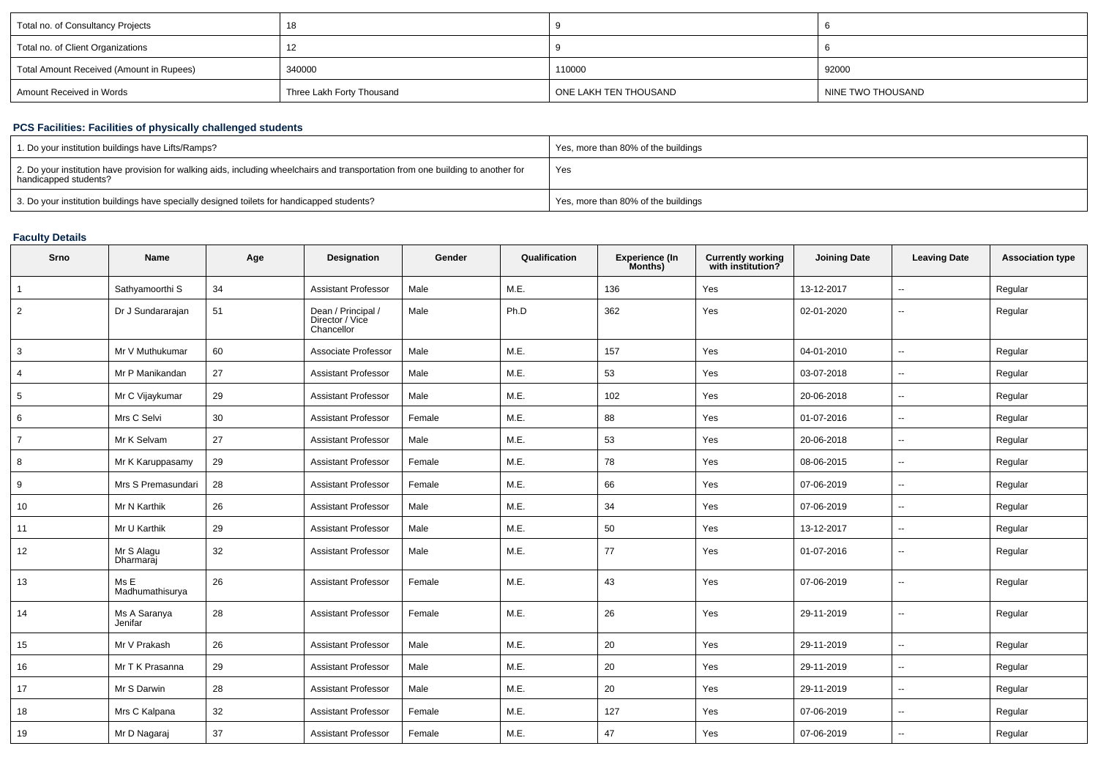| Total no. of Consultancy Projects        | 18                        |                       |                   |
|------------------------------------------|---------------------------|-----------------------|-------------------|
| Total no. of Client Organizations        |                           |                       |                   |
| Total Amount Received (Amount in Rupees) | 340000                    | 110000                | 92000             |
| Amount Received in Words                 | Three Lakh Forty Thousand | ONE LAKH TEN THOUSAND | NINE TWO THOUSAND |

### **PCS Facilities: Facilities of physically challenged students**

| 1. Do your institution buildings have Lifts/Ramps?                                                                                                         | Yes, more than 80% of the buildings |
|------------------------------------------------------------------------------------------------------------------------------------------------------------|-------------------------------------|
| 2. Do your institution have provision for walking aids, including wheelchairs and transportation from one building to another for<br>handicapped students? | Yes                                 |
| 3. Do your institution buildings have specially designed toilets for handicapped students?                                                                 | Yes, more than 80% of the buildings |

#### **Faculty Details**

| Srno           | <b>Name</b>             | Age | Designation                                         | Gender | Qualification | <b>Experience (In</b><br>Months) | <b>Currently working</b><br>with institution? | <b>Joining Date</b> | <b>Leaving Date</b> | <b>Association type</b> |
|----------------|-------------------------|-----|-----------------------------------------------------|--------|---------------|----------------------------------|-----------------------------------------------|---------------------|---------------------|-------------------------|
|                | Sathyamoorthi S         | 34  | <b>Assistant Professor</b>                          | Male   | M.E.          | 136                              | Yes                                           | 13-12-2017          | $\sim$              | Regular                 |
| $\overline{2}$ | Dr J Sundararajan       | 51  | Dean / Principal /<br>Director / Vice<br>Chancellor | Male   | Ph.D          | 362                              | Yes                                           | 02-01-2020          | $\sim$              | Regular                 |
| 3              | Mr V Muthukumar         | 60  | Associate Professor                                 | Male   | M.E.          | 157                              | Yes                                           | 04-01-2010          | $\sim$              | Regular                 |
| 4              | Mr P Manikandan         | 27  | <b>Assistant Professor</b>                          | Male   | M.E.          | 53                               | Yes                                           | 03-07-2018          | $\sim$              | Regular                 |
| 5              | Mr C Vijaykumar         | 29  | Assistant Professor                                 | Male   | M.E.          | 102                              | Yes                                           | 20-06-2018          | $\sim$              | Regular                 |
| 6              | Mrs C Selvi             | 30  | <b>Assistant Professor</b>                          | Female | M.E.          | 88                               | Yes                                           | 01-07-2016          | $\sim$              | Regular                 |
|                | Mr K Selvam             | 27  | <b>Assistant Professor</b>                          | Male   | M.E.          | 53                               | Yes                                           | 20-06-2018          | $\sim$              | Regular                 |
| 8              | Mr K Karuppasamy        | 29  | <b>Assistant Professor</b>                          | Female | M.E.          | 78                               | Yes                                           | 08-06-2015          | $\sim$              | Regular                 |
| 9              | Mrs S Premasundari      | 28  | <b>Assistant Professor</b>                          | Female | M.E.          | 66                               | Yes                                           | 07-06-2019          | $\sim$              | Regular                 |
| 10             | Mr N Karthik            | 26  | <b>Assistant Professor</b>                          | Male   | M.E.          | 34                               | Yes                                           | 07-06-2019          | $\sim$              | Regular                 |
| 11             | Mr U Karthik            | 29  | <b>Assistant Professor</b>                          | Male   | M.E.          | 50                               | Yes                                           | 13-12-2017          | $\sim$              | Regular                 |
| 12             | Mr S Alaqu<br>Dharmarai | 32  | <b>Assistant Professor</b>                          | Male   | M.E.          | 77                               | Yes                                           | 01-07-2016          | $\sim$              | Regular                 |
| 13             | Ms E<br>Madhumathisurya | 26  | <b>Assistant Professor</b>                          | Female | M.E.          | 43                               | Yes                                           | 07-06-2019          | $\sim$              | Regular                 |
| 14             | Ms A Saranya<br>Jenifar | 28  | Assistant Professor                                 | Female | M.E.          | 26                               | Yes                                           | 29-11-2019          | $\sim$              | Regular                 |
| 15             | Mr V Prakash            | 26  | <b>Assistant Professor</b>                          | Male   | M.E.          | 20                               | Yes                                           | 29-11-2019          | $\sim$              | Regular                 |
| 16             | Mr T K Prasanna         | 29  | <b>Assistant Professor</b>                          | Male   | M.E.          | 20                               | Yes                                           | 29-11-2019          | $\sim$              | Regular                 |
| 17             | Mr S Darwin             | 28  | <b>Assistant Professor</b>                          | Male   | M.E.          | 20                               | Yes                                           | 29-11-2019          | $\sim$              | Regular                 |
| 18             | Mrs C Kalpana           | 32  | <b>Assistant Professor</b>                          | Female | M.E.          | 127                              | Yes                                           | 07-06-2019          | $\sim$              | Regular                 |
| 19             | Mr D Nagaraj            | 37  | <b>Assistant Professor</b>                          | Female | M.E.          | 47                               | Yes                                           | 07-06-2019          | $\sim$              | Regular                 |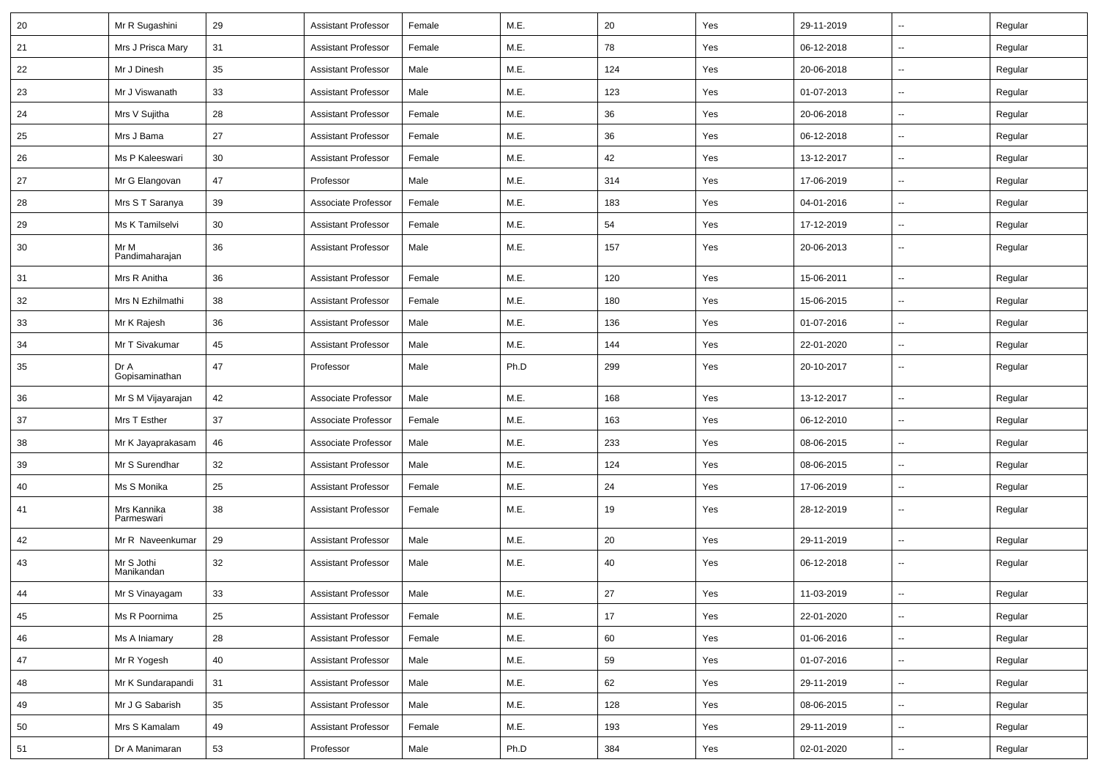| 20 | Mr R Sugashini            | 29 | <b>Assistant Professor</b> | Female | M.E. | 20  | Yes | 29-11-2019 | $\overline{\phantom{a}}$ | Regular |
|----|---------------------------|----|----------------------------|--------|------|-----|-----|------------|--------------------------|---------|
| 21 | Mrs J Prisca Mary         | 31 | <b>Assistant Professor</b> | Female | M.E. | 78  | Yes | 06-12-2018 | Ξ.                       | Regular |
| 22 | Mr J Dinesh               | 35 | <b>Assistant Professor</b> | Male   | M.E. | 124 | Yes | 20-06-2018 | --                       | Regular |
| 23 | Mr J Viswanath            | 33 | <b>Assistant Professor</b> | Male   | M.E. | 123 | Yes | 01-07-2013 | -−                       | Regular |
| 24 | Mrs V Sujitha             | 28 | <b>Assistant Professor</b> | Female | M.E. | 36  | Yes | 20-06-2018 | $\overline{\phantom{a}}$ | Regular |
| 25 | Mrs J Bama                | 27 | <b>Assistant Professor</b> | Female | M.E. | 36  | Yes | 06-12-2018 | $\overline{a}$           | Regular |
| 26 | Ms P Kaleeswari           | 30 | <b>Assistant Professor</b> | Female | M.E. | 42  | Yes | 13-12-2017 | Ξ.                       | Regular |
| 27 | Mr G Elangovan            | 47 | Professor                  | Male   | M.E. | 314 | Yes | 17-06-2019 | $\overline{\phantom{a}}$ | Regular |
| 28 | Mrs S T Saranya           | 39 | Associate Professor        | Female | M.E. | 183 | Yes | 04-01-2016 | -−                       | Regular |
| 29 | Ms K Tamilselvi           | 30 | <b>Assistant Professor</b> | Female | M.E. | 54  | Yes | 17-12-2019 | -−                       | Regular |
| 30 | Mr M<br>Pandimaharajan    | 36 | <b>Assistant Professor</b> | Male   | M.E. | 157 | Yes | 20-06-2013 | --                       | Regular |
| 31 | Mrs R Anitha              | 36 | <b>Assistant Professor</b> | Female | M.E. | 120 | Yes | 15-06-2011 | --                       | Regular |
| 32 | Mrs N Ezhilmathi          | 38 | <b>Assistant Professor</b> | Female | M.E. | 180 | Yes | 15-06-2015 | $\sim$                   | Regular |
| 33 | Mr K Rajesh               | 36 | <b>Assistant Professor</b> | Male   | M.E. | 136 | Yes | 01-07-2016 | $\sim$                   | Regular |
| 34 | Mr T Sivakumar            | 45 | <b>Assistant Professor</b> | Male   | M.E. | 144 | Yes | 22-01-2020 | $\sim$                   | Regular |
| 35 | Dr A<br>Gopisaminathan    | 47 | Professor                  | Male   | Ph.D | 299 | Yes | 20-10-2017 | --                       | Regular |
| 36 | Mr S M Vijayarajan        | 42 | Associate Professor        | Male   | M.E. | 168 | Yes | 13-12-2017 | -−                       | Regular |
| 37 | Mrs T Esther              | 37 | Associate Professor        | Female | M.E. | 163 | Yes | 06-12-2010 | $\overline{\phantom{a}}$ | Regular |
| 38 | Mr K Jayaprakasam         | 46 | Associate Professor        | Male   | M.E. | 233 | Yes | 08-06-2015 | $\overline{a}$           | Regular |
| 39 | Mr S Surendhar            | 32 | <b>Assistant Professor</b> | Male   | M.E. | 124 | Yes | 08-06-2015 |                          | Regular |
| 40 | Ms S Monika               | 25 | <b>Assistant Professor</b> | Female | M.E. | 24  | Yes | 17-06-2019 | $\overline{\phantom{a}}$ | Regular |
| 41 | Mrs Kannika<br>Parmeswari | 38 | <b>Assistant Professor</b> | Female | M.E. | 19  | Yes | 28-12-2019 | н.                       | Regular |
| 42 | Mr R Naveenkumar          | 29 | <b>Assistant Professor</b> | Male   | M.E. | 20  | Yes | 29-11-2019 | $\sim$                   | Regular |
| 43 | Mr S Jothi<br>Manikandan  | 32 | <b>Assistant Professor</b> | Male   | M.E. | 40  | Yes | 06-12-2018 | --                       | Regular |
| 44 | Mr S Vinayagam            | 33 | <b>Assistant Professor</b> | Male   | M.E. | 27  | Yes | 11-03-2019 | $\overline{\phantom{a}}$ | Regular |
| 45 | Ms R Poornima             | 25 | <b>Assistant Professor</b> | Female | M.E. | 17  | Yes | 22-01-2020 | ш,                       | Regular |
| 46 | Ms A Iniamary             | 28 | <b>Assistant Professor</b> | Female | M.E. | 60  | Yes | 01-06-2016 | щ.                       | Regular |
| 47 | Mr R Yogesh               | 40 | <b>Assistant Professor</b> | Male   | M.E. | 59  | Yes | 01-07-2016 | ш,                       | Regular |
| 48 | Mr K Sundarapandi         | 31 | <b>Assistant Professor</b> | Male   | M.E. | 62  | Yes | 29-11-2019 | $\overline{\phantom{a}}$ | Regular |
| 49 | Mr J G Sabarish           | 35 | <b>Assistant Professor</b> | Male   | M.E. | 128 | Yes | 08-06-2015 | $\sim$                   | Regular |
| 50 | Mrs S Kamalam             | 49 | <b>Assistant Professor</b> | Female | M.E. | 193 | Yes | 29-11-2019 | н.                       | Regular |
| 51 | Dr A Manimaran            | 53 | Professor                  | Male   | Ph.D | 384 | Yes | 02-01-2020 | $\sim$                   | Regular |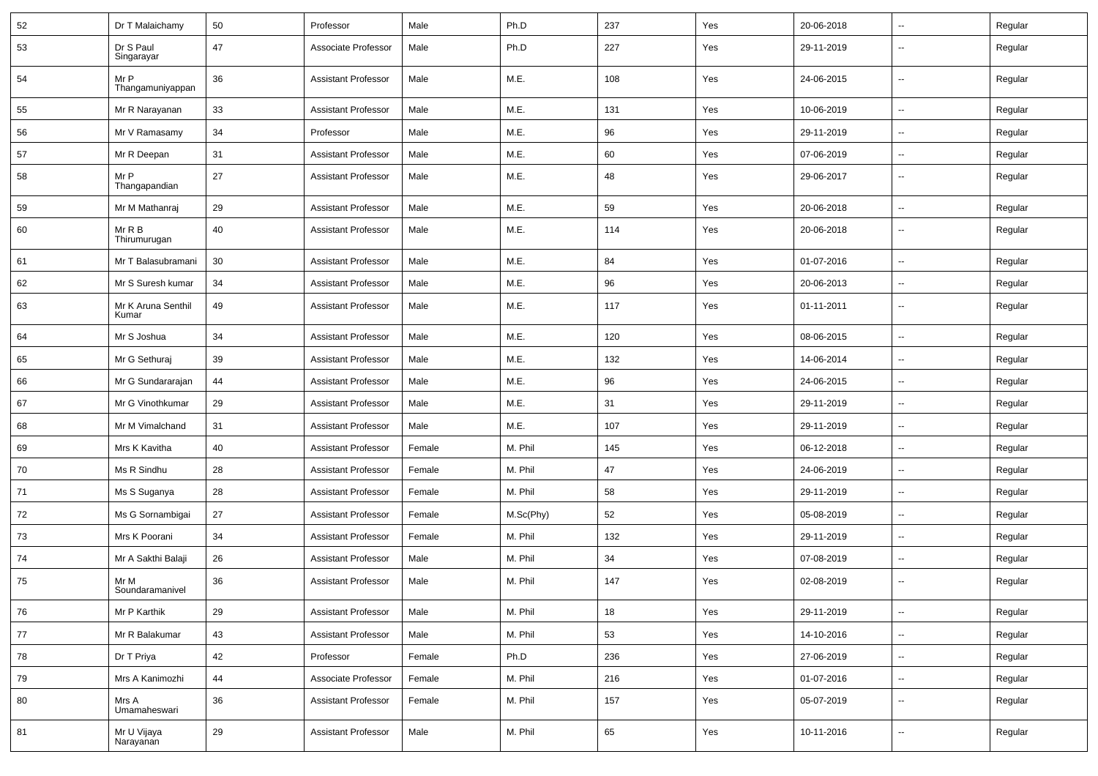| 52 | Dr T Malaichamy             | 50 | Professor                  | Male   | Ph.D      | 237 | Yes | 20-06-2018 | $\sim$                   | Regular |
|----|-----------------------------|----|----------------------------|--------|-----------|-----|-----|------------|--------------------------|---------|
| 53 | Dr S Paul<br>Singarayar     | 47 | Associate Professor        | Male   | Ph.D      | 227 | Yes | 29-11-2019 | --                       | Regular |
| 54 | Mr P<br>Thangamuniyappan    | 36 | <b>Assistant Professor</b> | Male   | M.E.      | 108 | Yes | 24-06-2015 | --                       | Regular |
| 55 | Mr R Narayanan              | 33 | <b>Assistant Professor</b> | Male   | M.E.      | 131 | Yes | 10-06-2019 | -−                       | Regular |
| 56 | Mr V Ramasamy               | 34 | Professor                  | Male   | M.E.      | 96  | Yes | 29-11-2019 | -−                       | Regular |
| 57 | Mr R Deepan                 | 31 | <b>Assistant Professor</b> | Male   | M.E.      | 60  | Yes | 07-06-2019 | --                       | Regular |
| 58 | Mr P<br>Thangapandian       | 27 | <b>Assistant Professor</b> | Male   | M.E.      | 48  | Yes | 29-06-2017 | --                       | Regular |
| 59 | Mr M Mathanraj              | 29 | <b>Assistant Professor</b> | Male   | M.E.      | 59  | Yes | 20-06-2018 | -−                       | Regular |
| 60 | Mr R B<br>Thirumurugan      | 40 | <b>Assistant Professor</b> | Male   | M.E.      | 114 | Yes | 20-06-2018 | $\overline{\phantom{a}}$ | Regular |
| 61 | Mr T Balasubramani          | 30 | <b>Assistant Professor</b> | Male   | M.E.      | 84  | Yes | 01-07-2016 | Ξ.                       | Regular |
| 62 | Mr S Suresh kumar           | 34 | <b>Assistant Professor</b> | Male   | M.E.      | 96  | Yes | 20-06-2013 | $\sim$                   | Regular |
| 63 | Mr K Aruna Senthil<br>Kumar | 49 | <b>Assistant Professor</b> | Male   | M.E.      | 117 | Yes | 01-11-2011 | -−                       | Regular |
| 64 | Mr S Joshua                 | 34 | <b>Assistant Professor</b> | Male   | M.E.      | 120 | Yes | 08-06-2015 | −−                       | Regular |
| 65 | Mr G Sethuraj               | 39 | <b>Assistant Professor</b> | Male   | M.E.      | 132 | Yes | 14-06-2014 | -−                       | Regular |
| 66 | Mr G Sundararajan           | 44 | <b>Assistant Professor</b> | Male   | M.E.      | 96  | Yes | 24-06-2015 | --                       | Regular |
| 67 | Mr G Vinothkumar            | 29 | <b>Assistant Professor</b> | Male   | M.E.      | 31  | Yes | 29-11-2019 |                          | Regular |
| 68 | Mr M Vimalchand             | 31 | <b>Assistant Professor</b> | Male   | M.E.      | 107 | Yes | 29-11-2019 | $\mathbf{u}$             | Regular |
| 69 | Mrs K Kavitha               | 40 | <b>Assistant Professor</b> | Female | M. Phil   | 145 | Yes | 06-12-2018 | $\overline{\phantom{a}}$ | Regular |
| 70 | Ms R Sindhu                 | 28 | <b>Assistant Professor</b> | Female | M. Phil   | 47  | Yes | 24-06-2019 | −−                       | Regular |
| 71 | Ms S Suganya                | 28 | <b>Assistant Professor</b> | Female | M. Phil   | 58  | Yes | 29-11-2019 | -−                       | Regular |
| 72 | Ms G Sornambigai            | 27 | <b>Assistant Professor</b> | Female | M.Sc(Phy) | 52  | Yes | 05-08-2019 | --                       | Regular |
| 73 | Mrs K Poorani               | 34 | <b>Assistant Professor</b> | Female | M. Phil   | 132 | Yes | 29-11-2019 | --                       | Regular |
| 74 | Mr A Sakthi Balaji          | 26 | <b>Assistant Professor</b> | Male   | M. Phil   | 34  | Yes | 07-08-2019 | $\sim$                   | Regular |
| 75 | Mr M<br>Soundaramanivel     | 36 | <b>Assistant Professor</b> | Male   | M. Phil   | 147 | Yes | 02-08-2019 | --                       | Regular |
| 76 | Mr P Karthik                | 29 | <b>Assistant Professor</b> | Male   | M. Phil   | 18  | Yes | 29-11-2019 | $\sim$                   | Regular |
| 77 | Mr R Balakumar              | 43 | <b>Assistant Professor</b> | Male   | M. Phil   | 53  | Yes | 14-10-2016 | $\overline{\phantom{a}}$ | Regular |
| 78 | Dr T Priya                  | 42 | Professor                  | Female | Ph.D      | 236 | Yes | 27-06-2019 | Щ,                       | Regular |
| 79 | Mrs A Kanimozhi             | 44 | Associate Professor        | Female | M. Phil   | 216 | Yes | 01-07-2016 | $\overline{\phantom{a}}$ | Regular |
| 80 | Mrs A<br>Umamaheswari       | 36 | <b>Assistant Professor</b> | Female | M. Phil   | 157 | Yes | 05-07-2019 | −−                       | Regular |
| 81 | Mr U Vijaya<br>Narayanan    | 29 | <b>Assistant Professor</b> | Male   | M. Phil   | 65  | Yes | 10-11-2016 | щ.                       | Regular |